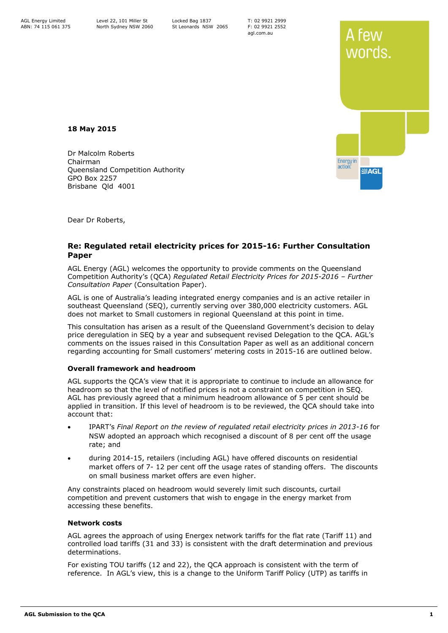T: 02 9921 2999 F: 02 9921 2552 agl.com.au



**18 May 2015**

Dr Malcolm Roberts Chairman Queensland Competition Authority GPO Box 2257 Brisbane Qld 4001

Dear Dr Roberts,

# **Re: Regulated retail electricity prices for 2015-16: Further Consultation Paper**

AGL Energy (AGL) welcomes the opportunity to provide comments on the Queensland Competition Authority's (QCA) *Regulated Retail Electricity Prices for 2015-2016 – Further Consultation Paper* (Consultation Paper).

AGL is one of Australia's leading integrated energy companies and is an active retailer in southeast Queensland (SEQ), currently serving over 380,000 electricity customers. AGL does not market to Small customers in regional Queensland at this point in time.

This consultation has arisen as a result of the Queensland Government's decision to delay price deregulation in SEQ by a year and subsequent revised Delegation to the QCA. AGL's comments on the issues raised in this Consultation Paper as well as an additional concern regarding accounting for Small customers' metering costs in 2015-16 are outlined below.

## **Overall framework and headroom**

AGL supports the QCA's view that it is appropriate to continue to include an allowance for headroom so that the level of notified prices is not a constraint on competition in SEQ. AGL has previously agreed that a minimum headroom allowance of 5 per cent should be applied in transition. If this level of headroom is to be reviewed, the QCA should take into account that:

- IPART's *Final Report on the review of regulated retail electricity prices in 2013-16* for NSW adopted an approach which recognised a discount of 8 per cent off the usage rate; and
- during 2014-15, retailers (including AGL) have offered discounts on residential market offers of 7- 12 per cent off the usage rates of standing offers. The discounts on small business market offers are even higher.

Any constraints placed on headroom would severely limit such discounts, curtail competition and prevent customers that wish to engage in the energy market from accessing these benefits.

## **Network costs**

AGL agrees the approach of using Energex network tariffs for the flat rate (Tariff 11) and controlled load tariffs (31 and 33) is consistent with the draft determination and previous determinations.

For existing TOU tariffs (12 and 22), the QCA approach is consistent with the term of reference. In AGL's view, this is a change to the Uniform Tariff Policy (UTP) as tariffs in